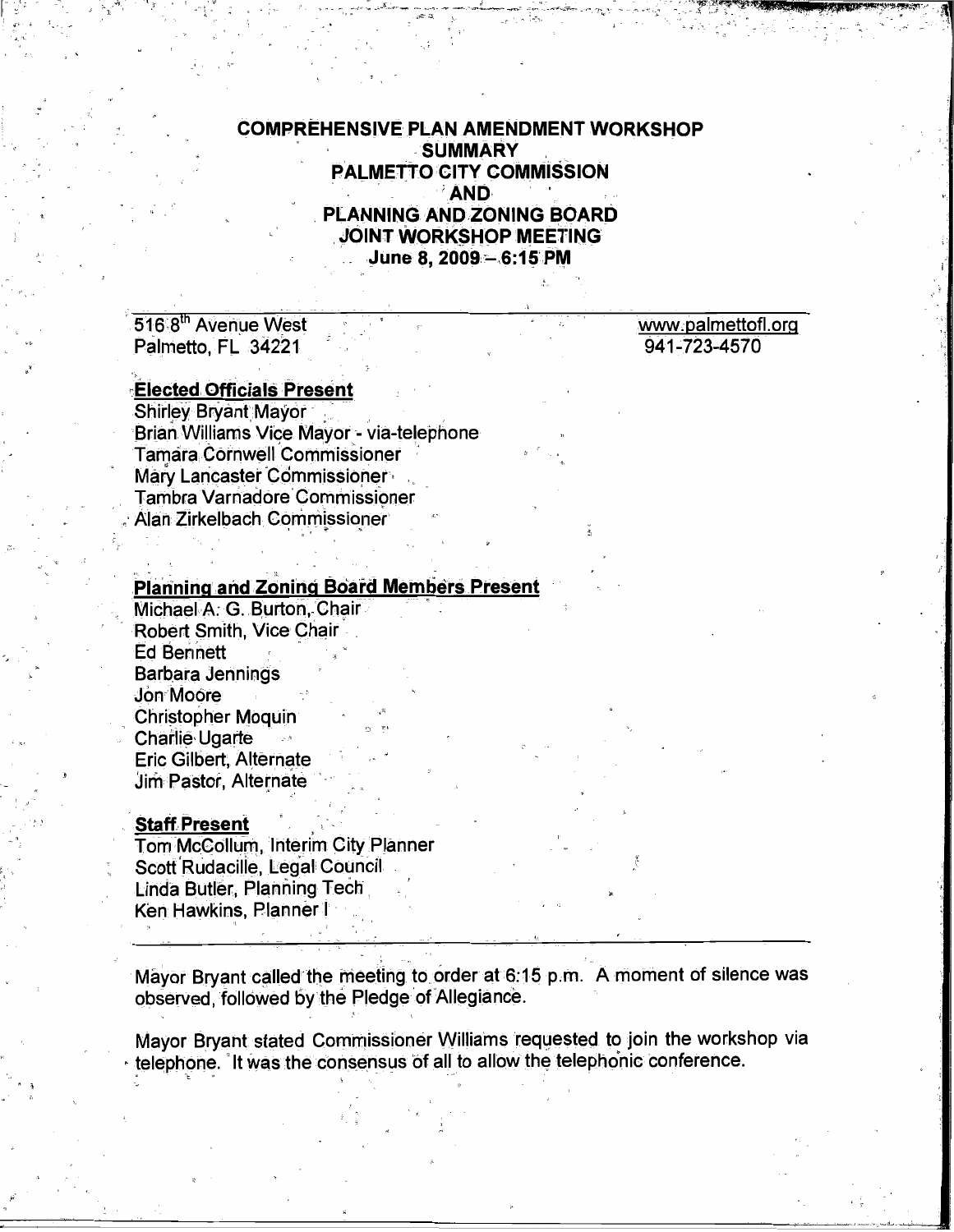# **COMPREHENSIVE PLAN AMENDMENT WORKSHOP SUMMARY PALMETTO CITY COMMISSION AND** PLANNING AND ZONING BOARD JOINT WORKSHOP MEETING June 8, 2009 - 6:15 PM

516.8th Avenue West Palmetto, FL 34221

#### www.palmettofl.org 941-723-4570

# **Elected Officials Present**

**Shirley Bryant Mayor** Brian Williams Vice Mavor - via-telephone **Tamara Cornwell Commissioner** Marv Lancaster Commissioner **Tambra Varnadore Commissioner** Alan Zirkelbach Commissioner

#### **Planning and Zoning Board Members Present**

Michael A. G. Burton, Chair Robert Smith, Vice Chair **Ed Bennett Barbara Jennings** Jon Moore **Christopher Moquin** Charlie Ugarte Eric Gilbert, Alternate Jim Pastor, Alternate

## **Staff Present**

Tom McCollum, Interim City Planner Scott Rudacille, Legal Council Linda Butler, Planning Tech Ken Hawkins, Planner I

Mayor Bryant called the meeting to order at 6:15 p.m. A moment of silence was observed, followed by the Pledge of Allegiance.

Mayor Bryant stated Commissioner Williams requested to join the workshop via telephone. It was the consensus of all to allow the telephonic conference.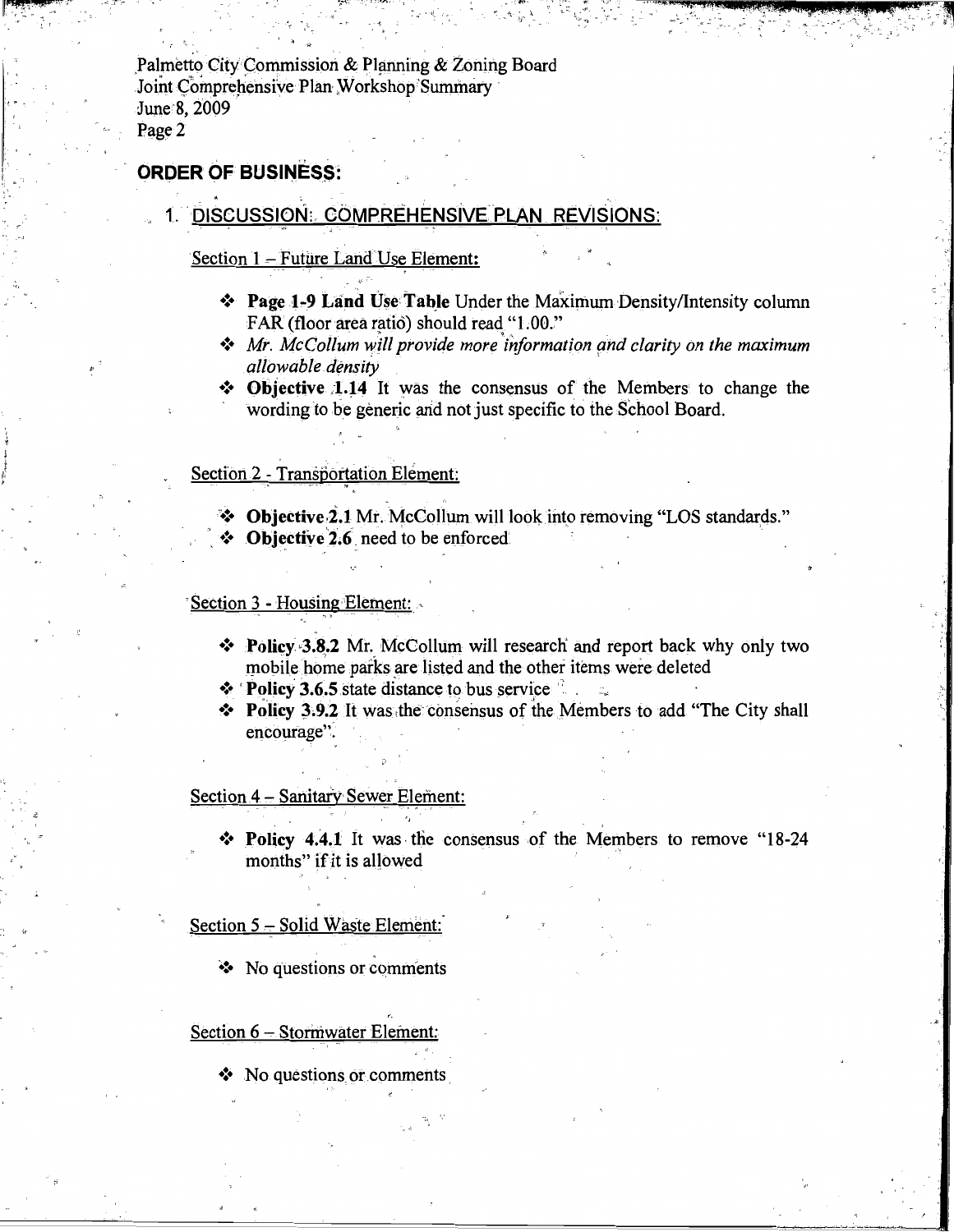Palmetto City Commission & Planning & Zoning Board Joint Comprehensive Plan Workshop Summary June 8, 2009 Page 2

### **ORDER OF BUSINESS:**

# 1. DISCUSSION: COMPREHENSIVE PLAN REVISIONS:

#### Section 1 – Future Land Use Element:

- ❖ Page 1-9 Land Use Table Under the Maximum Density/Intensity column FAR (floor area ratio) should read "1.00."
- $\triangleleft$  Mr. McCollum will provide more information and clarity on the maximum allowable density
- Objective 1.14 It was the consensus of the Members to change the wording to be generic and not just specific to the School Board.

#### Section 2 - Transportation Element:

 $\bullet$  Objective 2.1 Mr. McCollum will look into removing "LOS standards."

 $\bullet$  Objective 2.6 need to be enforced.

#### Section 3 - Housing Element:

- ❖ Policy 3.8.2 Mr. McCollum will research and report back why only two mobile home parks are listed and the other items were deleted
- $\cdot$  Policy 3.6.5 state distance to bus service
- Policy 3.9.2 It was the consensus of the Members to add "The City shall" encourage".

Section 4 - Sanitary Sewer Element:

❖ Policy 4.4.1 It was the consensus of the Members to remove "18-24 months" if it is allowed

Section 5 - Solid Waste Element:

❖ No questions or comments

Section 6 - Stormwater Element:

 $\bullet$  No questions or comments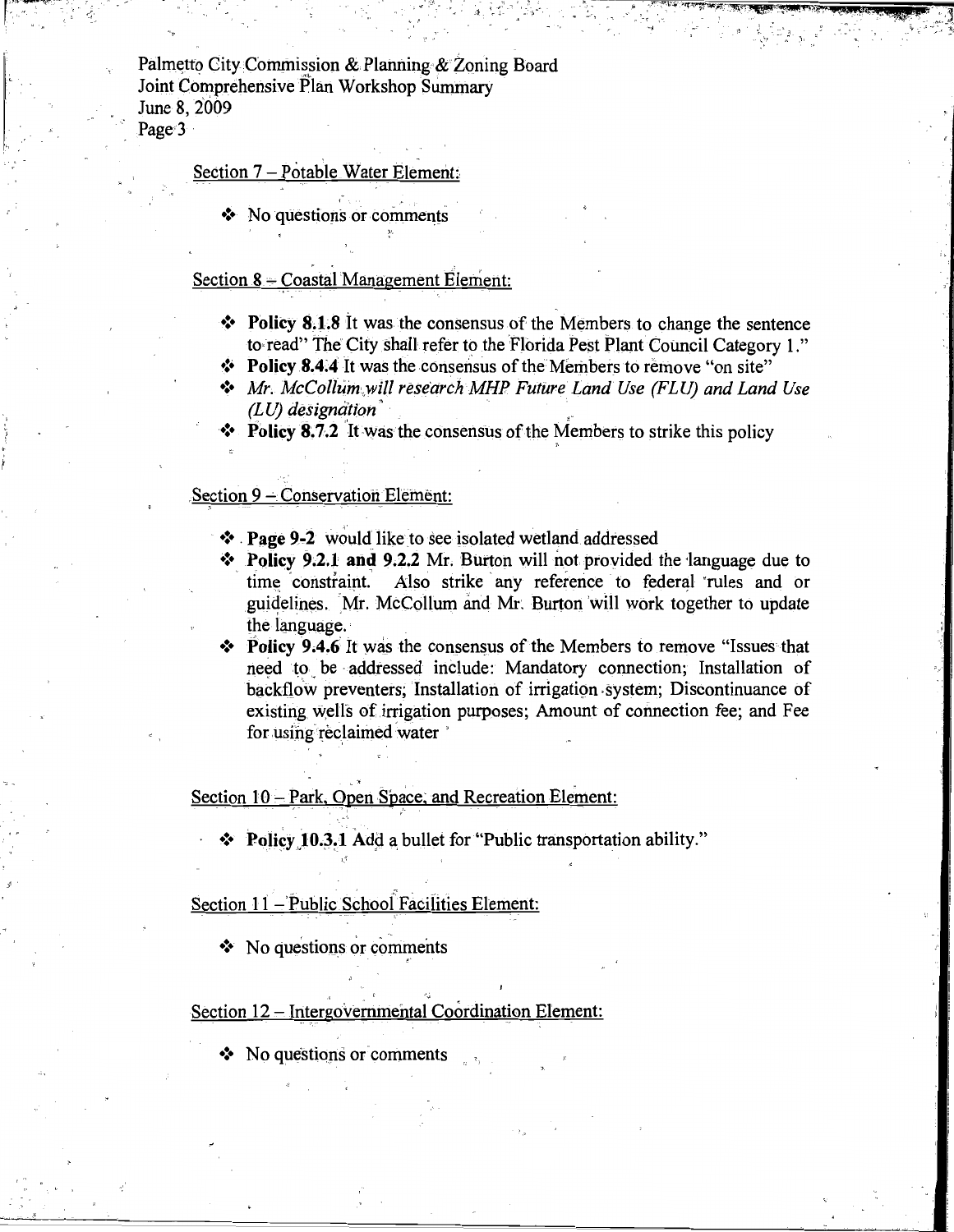Palmetto City Commission & Planning & Zoning Board Joint Comprehensive Plan Workshop Summary June 8, 2009 Page 3

#### Section 7 - Potable Water Element:

No questions or comments

## Section 8 - Coastal Management Element:

- Policy 8.1.8 It was the consensus of the Members to change the sentence to read" The City shall refer to the Florida Pest Plant Council Category 1."
- \* Policy 8.4.4 It was the consensus of the Members to remove "on site"
- Mr. McCollum will research MHP Future Land Use (FLU) and Land Use  $(LU)$  designation
- $\bullet$  Policy 8.7.2 It was the consensus of the Members to strike this policy

#### Section 9 - Conservation Element:

- ❖ Page 9-2 would like to see isolated wetland addressed
- $\bullet$  Policy 9.2.1 and 9.2.2 Mr. Burton will not provided the language due to time constraint. Also strike any reference to federal rules and or guidelines. Mr. McCollum and Mr. Burton will work together to update the language.
- $\bullet$  Policy 9.4.6 It was the consensus of the Members to remove "Issues that need to be addressed include: Mandatory connection; Installation of backflow preventers: Installation of irrigation system: Discontinuance of existing wells of irrigation purposes; Amount of connection fee; and Fee for using reclaimed water

Section 10 - Park, Open Space, and Recreation Element:

\* Policy 10.3.1 Add a bullet for "Public transportation ability."

#### Section 11 - Public School Facilities Element:

No questions or comments

#### Section 12 - Intergovernmental Coordination Element:

No questions or comments